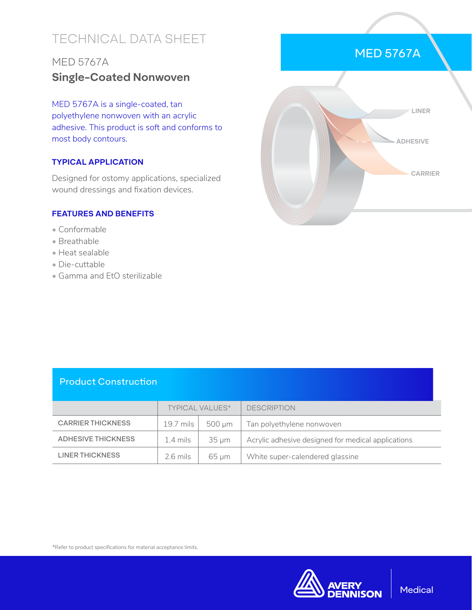# TECHNICAL DATA SHEET

## MED 5767A **Single-Coated Nonwoven**

MED 5767A is a single-coated, tan polyethylene nonwoven with an acrylic adhesive. This product is soft and conforms to most body contours.

#### **TYPICAL APPLICATION**

Designed for ostomy applications, specialized wound dressings and fixation devices.

#### **FEATURES AND BENEFITS**

- Conformable
- Breathable
- Heat sealable
- Die-cuttable
- Gamma and EtO sterilizable



### Product Construction

|                          | <b>TYPICAL VALUES*</b> |        | <b>DESCRIPTION</b>                                 |
|--------------------------|------------------------|--------|----------------------------------------------------|
| <b>CARRIER THICKNESS</b> | 19.7 mils              | 500 um | Tan polyethylene nonwoven                          |
| ADHESIVE THICKNESS       | $1.4 \,\mathrm{mils}$  | 35 um  | Acrylic adhesive designed for medical applications |
| LINER THICKNESS          | $2.6$ mils             | 65 um  | White super-calendered glassine                    |